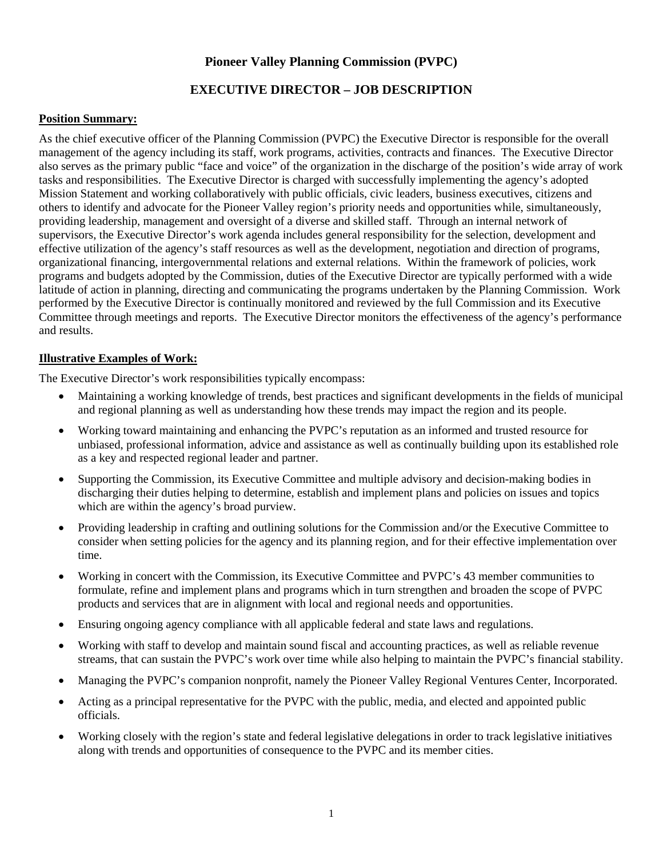## **Pioneer Valley Planning Commission (PVPC)**

# **EXECUTIVE DIRECTOR – JOB DESCRIPTION**

### **Position Summary:**

As the chief executive officer of the Planning Commission (PVPC) the Executive Director is responsible for the overall management of the agency including its staff, work programs, activities, contracts and finances. The Executive Director also serves as the primary public "face and voice" of the organization in the discharge of the position's wide array of work tasks and responsibilities. The Executive Director is charged with successfully implementing the agency's adopted Mission Statement and working collaboratively with public officials, civic leaders, business executives, citizens and others to identify and advocate for the Pioneer Valley region's priority needs and opportunities while, simultaneously, providing leadership, management and oversight of a diverse and skilled staff. Through an internal network of supervisors, the Executive Director's work agenda includes general responsibility for the selection, development and effective utilization of the agency's staff resources as well as the development, negotiation and direction of programs, organizational financing, intergovernmental relations and external relations. Within the framework of policies, work programs and budgets adopted by the Commission, duties of the Executive Director are typically performed with a wide latitude of action in planning, directing and communicating the programs undertaken by the Planning Commission. Work performed by the Executive Director is continually monitored and reviewed by the full Commission and its Executive Committee through meetings and reports. The Executive Director monitors the effectiveness of the agency's performance and results.

#### **Illustrative Examples of Work:**

The Executive Director's work responsibilities typically encompass:

- Maintaining a working knowledge of trends, best practices and significant developments in the fields of municipal and regional planning as well as understanding how these trends may impact the region and its people.
- Working toward maintaining and enhancing the PVPC's reputation as an informed and trusted resource for unbiased, professional information, advice and assistance as well as continually building upon its established role as a key and respected regional leader and partner.
- Supporting the Commission, its Executive Committee and multiple advisory and decision-making bodies in discharging their duties helping to determine, establish and implement plans and policies on issues and topics which are within the agency's broad purview.
- Providing leadership in crafting and outlining solutions for the Commission and/or the Executive Committee to consider when setting policies for the agency and its planning region, and for their effective implementation over time.
- Working in concert with the Commission, its Executive Committee and PVPC's 43 member communities to formulate, refine and implement plans and programs which in turn strengthen and broaden the scope of PVPC products and services that are in alignment with local and regional needs and opportunities.
- Ensuring ongoing agency compliance with all applicable federal and state laws and regulations.
- Working with staff to develop and maintain sound fiscal and accounting practices, as well as reliable revenue streams, that can sustain the PVPC's work over time while also helping to maintain the PVPC's financial stability.
- Managing the PVPC's companion nonprofit, namely the Pioneer Valley Regional Ventures Center, Incorporated.
- Acting as a principal representative for the PVPC with the public, media, and elected and appointed public officials.
- Working closely with the region's state and federal legislative delegations in order to track legislative initiatives along with trends and opportunities of consequence to the PVPC and its member cities.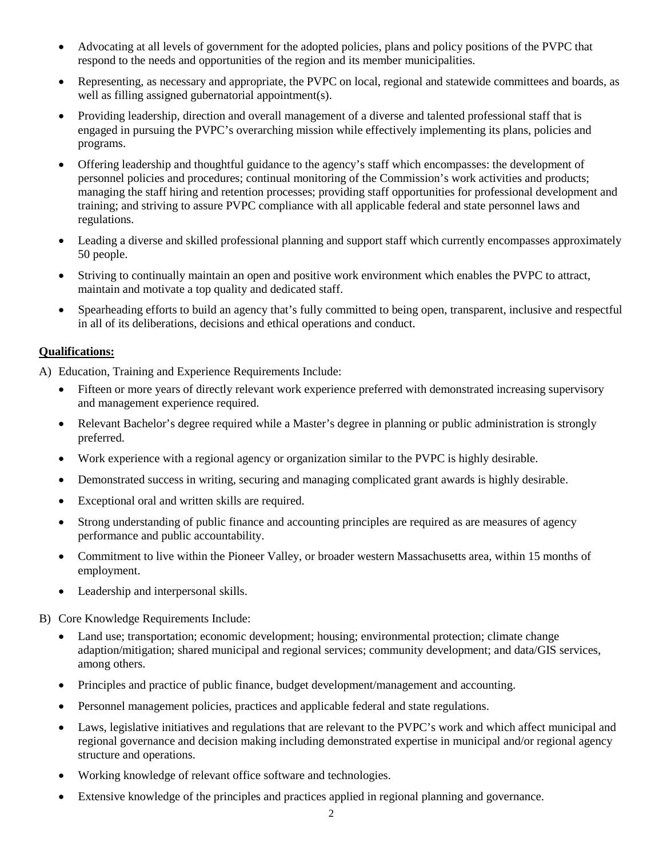- Advocating at all levels of government for the adopted policies, plans and policy positions of the PVPC that respond to the needs and opportunities of the region and its member municipalities.
- Representing, as necessary and appropriate, the PVPC on local, regional and statewide committees and boards, as well as filling assigned gubernatorial appointment(s).
- Providing leadership, direction and overall management of a diverse and talented professional staff that is engaged in pursuing the PVPC's overarching mission while effectively implementing its plans, policies and programs.
- Offering leadership and thoughtful guidance to the agency's staff which encompasses: the development of personnel policies and procedures; continual monitoring of the Commission's work activities and products; managing the staff hiring and retention processes; providing staff opportunities for professional development and training; and striving to assure PVPC compliance with all applicable federal and state personnel laws and regulations.
- Leading a diverse and skilled professional planning and support staff which currently encompasses approximately 50 people.
- Striving to continually maintain an open and positive work environment which enables the PVPC to attract, maintain and motivate a top quality and dedicated staff.
- Spearheading efforts to build an agency that's fully committed to being open, transparent, inclusive and respectful in all of its deliberations, decisions and ethical operations and conduct.

## **Qualifications:**

- A) Education, Training and Experience Requirements Include:
	- Fifteen or more years of directly relevant work experience preferred with demonstrated increasing supervisory and management experience required.
	- Relevant Bachelor's degree required while a Master's degree in planning or public administration is strongly preferred.
	- Work experience with a regional agency or organization similar to the PVPC is highly desirable.
	- Demonstrated success in writing, securing and managing complicated grant awards is highly desirable.
	- Exceptional oral and written skills are required.
	- Strong understanding of public finance and accounting principles are required as are measures of agency performance and public accountability.
	- Commitment to live within the Pioneer Valley, or broader western Massachusetts area, within 15 months of employment.
	- Leadership and interpersonal skills.
- B) Core Knowledge Requirements Include:
	- Land use; transportation; economic development; housing; environmental protection; climate change adaption/mitigation; shared municipal and regional services; community development; and data/GIS services, among others.
	- Principles and practice of public finance, budget development/management and accounting.
	- Personnel management policies, practices and applicable federal and state regulations.
	- Laws, legislative initiatives and regulations that are relevant to the PVPC's work and which affect municipal and regional governance and decision making including demonstrated expertise in municipal and/or regional agency structure and operations.
	- Working knowledge of relevant office software and technologies.
	- Extensive knowledge of the principles and practices applied in regional planning and governance.